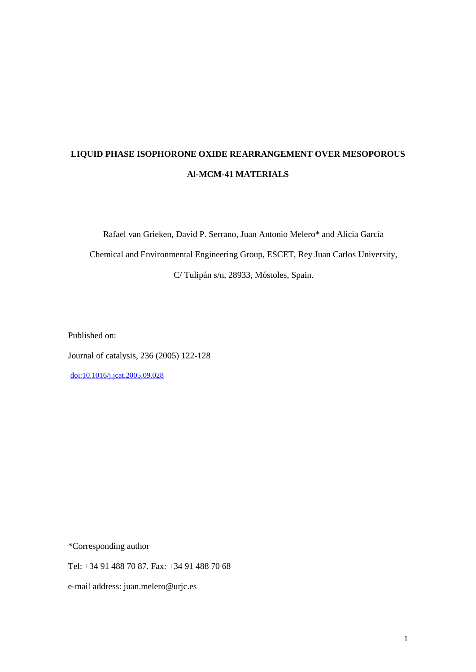# **LIQUID PHASE ISOPHORONE OXIDE REARRANGEMENT OVER MESOPOROUS Al-MCM-41 MATERIALS**

Rafael van Grieken, David P. Serrano, Juan Antonio Melero\* and Alicia García Chemical and Environmental Engineering Group, ESCET, Rey Juan Carlos University, C/ Tulipán s/n, 28933, Móstoles, Spain.

Published on:

Journal of catalysis, 236 (2005) 122-128

[doi:10.1016/j.jcat.2005.09.028](http://dx.doi.org/10.1016/j.jcat.2005.09.028)

\*Corresponding author

Tel: +34 91 488 70 87. Fax: +34 91 488 70 68

e-mail address: juan.melero@urjc.es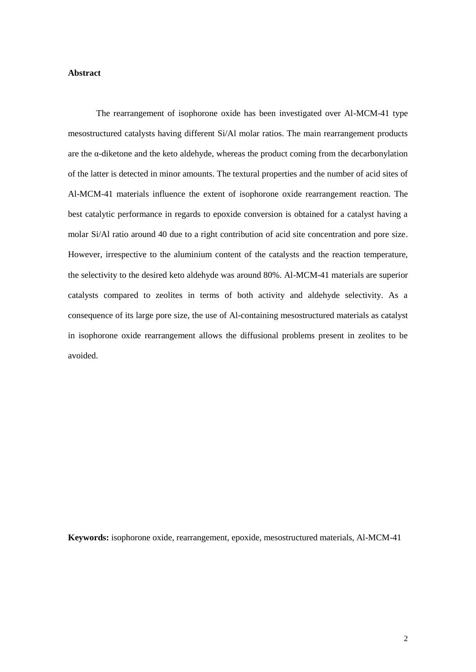## **Abstract**

The rearrangement of isophorone oxide has been investigated over Al-MCM-41 type mesostructured catalysts having different Si/Al molar ratios. The main rearrangement products are the α-diketone and the keto aldehyde, whereas the product coming from the decarbonylation of the latter is detected in minor amounts. The textural properties and the number of acid sites of Al-MCM-41 materials influence the extent of isophorone oxide rearrangement reaction. The best catalytic performance in regards to epoxide conversion is obtained for a catalyst having a molar Si/Al ratio around 40 due to a right contribution of acid site concentration and pore size. However, irrespective to the aluminium content of the catalysts and the reaction temperature, the selectivity to the desired keto aldehyde was around 80%. Al-MCM-41 materials are superior catalysts compared to zeolites in terms of both activity and aldehyde selectivity. As a consequence of its large pore size, the use of Al-containing mesostructured materials as catalyst in isophorone oxide rearrangement allows the diffusional problems present in zeolites to be avoided.

**Keywords:** isophorone oxide, rearrangement, epoxide, mesostructured materials, Al-MCM-41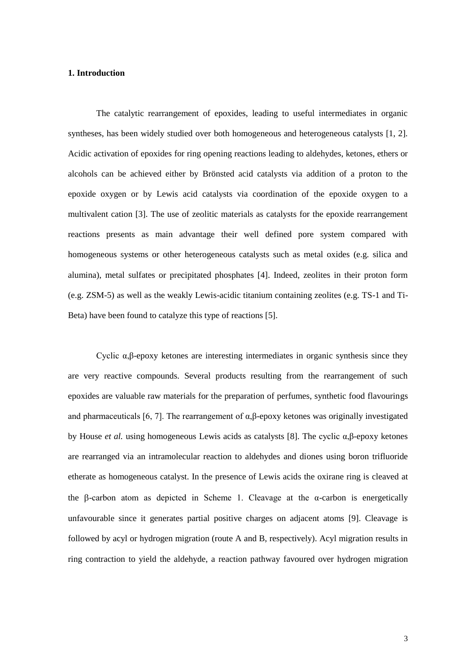#### **1. Introduction**

The catalytic rearrangement of epoxides, leading to useful intermediates in organic syntheses, has been widely studied over both homogeneous and heterogeneous catalysts [1, 2]. Acidic activation of epoxides for ring opening reactions leading to aldehydes, ketones, ethers or alcohols can be achieved either by Brönsted acid catalysts via addition of a proton to the epoxide oxygen or by Lewis acid catalysts via coordination of the epoxide oxygen to a multivalent cation [3]. The use of zeolitic materials as catalysts for the epoxide rearrangement reactions presents as main advantage their well defined pore system compared with homogeneous systems or other heterogeneous catalysts such as metal oxides (e.g. silica and alumina), metal sulfates or precipitated phosphates [4]. Indeed, zeolites in their proton form (e.g. ZSM-5) as well as the weakly Lewis-acidic titanium containing zeolites (e.g. TS-1 and Ti-Beta) have been found to catalyze this type of reactions [5].

Cyclic  $\alpha$ ,β-epoxy ketones are interesting intermediates in organic synthesis since they are very reactive compounds. Several products resulting from the rearrangement of such epoxides are valuable raw materials for the preparation of perfumes, synthetic food flavourings and pharmaceuticals [6, 7]. The rearrangement of  $\alpha$ ,β-epoxy ketones was originally investigated by House *et al.* using homogeneous Lewis acids as catalysts [8]. The cyclic α,β-epoxy ketones are rearranged via an intramolecular reaction to aldehydes and diones using boron trifluoride etherate as homogeneous catalyst. In the presence of Lewis acids the oxirane ring is cleaved at the  $\beta$ -carbon atom as depicted in Scheme 1. Cleavage at the  $\alpha$ -carbon is energetically unfavourable since it generates partial positive charges on adjacent atoms [9]. Cleavage is followed by acyl or hydrogen migration (route A and B, respectively). Acyl migration results in ring contraction to yield the aldehyde, a reaction pathway favoured over hydrogen migration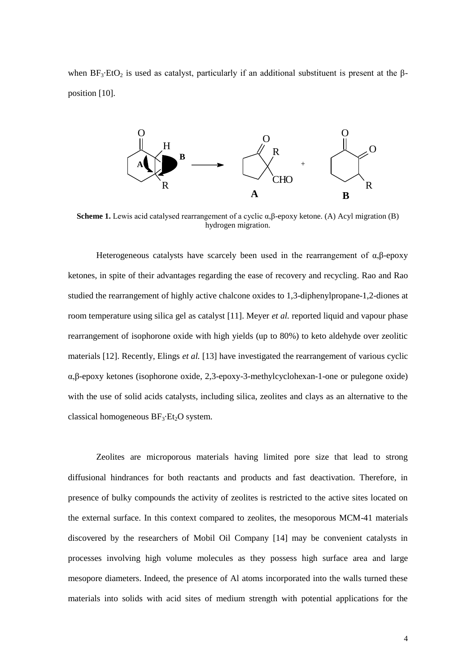when  $BF_3\text{-}EtO_2$  is used as catalyst, particularly if an additional substituent is present at the  $\beta$ position [10].



**Scheme 1.** Lewis acid catalysed rearrangement of a cyclic α,β-epoxy ketone. (A) Acyl migration (B) hydrogen migration.

Heterogeneous catalysts have scarcely been used in the rearrangement of  $\alpha$ , $\beta$ -epoxy ketones, in spite of their advantages regarding the ease of recovery and recycling. Rao and Rao studied the rearrangement of highly active chalcone oxides to 1,3-diphenylpropane-1,2-diones at room temperature using silica gel as catalyst [11]. Meyer *et al.* reported liquid and vapour phase rearrangement of isophorone oxide with high yields (up to 80%) to keto aldehyde over zeolitic materials [12]. Recently, Elings *et al.* [13] have investigated the rearrangement of various cyclic α,β-epoxy ketones (isophorone oxide, 2,3-epoxy-3-methylcyclohexan-1-one or pulegone oxide) with the use of solid acids catalysts, including silica, zeolites and clays as an alternative to the classical homogeneous  $BF_3$ ·Et<sub>2</sub>O system.

Zeolites are microporous materials having limited pore size that lead to strong diffusional hindrances for both reactants and products and fast deactivation. Therefore, in presence of bulky compounds the activity of zeolites is restricted to the active sites located on the external surface. In this context compared to zeolites, the mesoporous MCM-41 materials discovered by the researchers of Mobil Oil Company [14] may be convenient catalysts in processes involving high volume molecules as they possess high surface area and large mesopore diameters. Indeed, the presence of Al atoms incorporated into the walls turned these materials into solids with acid sites of medium strength with potential applications for the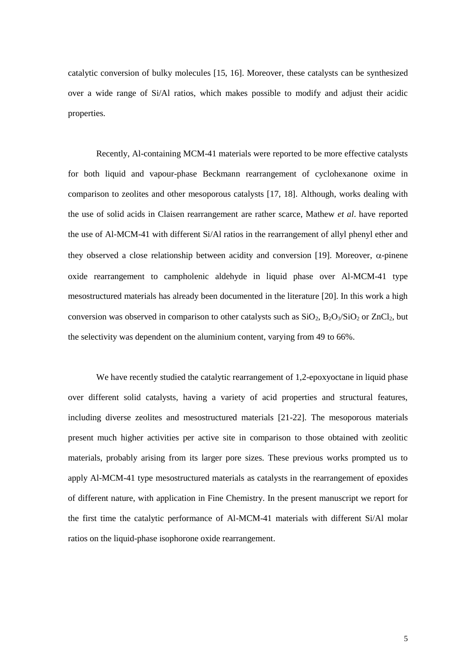catalytic conversion of bulky molecules [15, 16]. Moreover, these catalysts can be synthesized over a wide range of Si/Al ratios, which makes possible to modify and adjust their acidic properties.

Recently, Al-containing MCM-41 materials were reported to be more effective catalysts for both liquid and vapour-phase Beckmann rearrangement of cyclohexanone oxime in comparison to zeolites and other mesoporous catalysts [17, 18]. Although, works dealing with the use of solid acids in Claisen rearrangement are rather scarce, Mathew *et al*. have reported the use of Al-MCM-41 with different Si/Al ratios in the rearrangement of allyl phenyl ether and they observed a close relationship between acidity and conversion [19]. Moreover,  $\alpha$ -pinene oxide rearrangement to campholenic aldehyde in liquid phase over Al-MCM-41 type mesostructured materials has already been documented in the literature [20]. In this work a high conversion was observed in comparison to other catalysts such as  $SiO_2$ ,  $B_2O_3/SiO_2$  or  $ZnCl_2$ , but the selectivity was dependent on the aluminium content, varying from 49 to 66%.

We have recently studied the catalytic rearrangement of 1,2-epoxyoctane in liquid phase over different solid catalysts, having a variety of acid properties and structural features, including diverse zeolites and mesostructured materials [21-22]. The mesoporous materials present much higher activities per active site in comparison to those obtained with zeolitic materials, probably arising from its larger pore sizes. These previous works prompted us to apply Al-MCM-41 type mesostructured materials as catalysts in the rearrangement of epoxides of different nature, with application in Fine Chemistry. In the present manuscript we report for the first time the catalytic performance of Al-MCM-41 materials with different Si/Al molar ratios on the liquid-phase isophorone oxide rearrangement.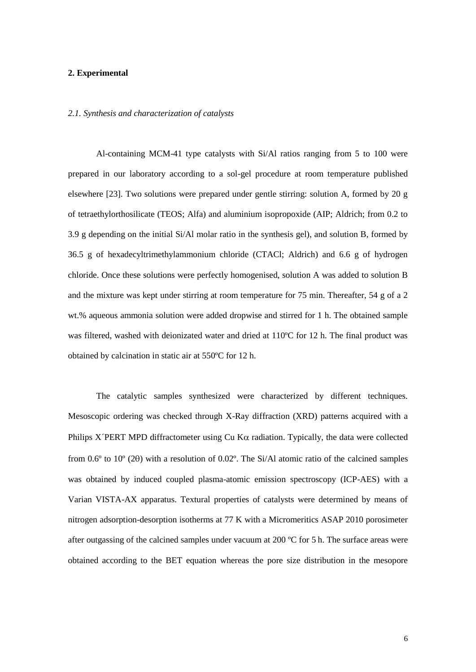### **2. Experimental**

#### *2.1. Synthesis and characterization of catalysts*

Al-containing MCM-41 type catalysts with Si/Al ratios ranging from 5 to 100 were prepared in our laboratory according to a sol-gel procedure at room temperature published elsewhere [23]. Two solutions were prepared under gentle stirring: solution A, formed by 20 g of tetraethylorthosilicate (TEOS; Alfa) and aluminium isopropoxide (AIP; Aldrich; from 0.2 to 3.9 g depending on the initial Si/Al molar ratio in the synthesis gel), and solution B, formed by 36.5 g of hexadecyltrimethylammonium chloride (CTACl; Aldrich) and 6.6 g of hydrogen chloride. Once these solutions were perfectly homogenised, solution A was added to solution B and the mixture was kept under stirring at room temperature for 75 min. Thereafter, 54 g of a 2 wt.% aqueous ammonia solution were added dropwise and stirred for 1 h. The obtained sample was filtered, washed with deionizated water and dried at 110ºC for 12 h. The final product was obtained by calcination in static air at 550ºC for 12 h.

The catalytic samples synthesized were characterized by different techniques. Mesoscopic ordering was checked through X-Ray diffraction (XRD) patterns acquired with a Philips X<sup></sup>PERT MPD diffractometer using Cu K $\alpha$  radiation. Typically, the data were collected from  $0.6^{\circ}$  to  $10^{\circ}$  (2 $\theta$ ) with a resolution of  $0.02^{\circ}$ . The Si/Al atomic ratio of the calcined samples was obtained by induced coupled plasma-atomic emission spectroscopy (ICP-AES) with a Varian VISTA-AX apparatus. Textural properties of catalysts were determined by means of nitrogen adsorption-desorption isotherms at 77 K with a Micromeritics ASAP 2010 porosimeter after outgassing of the calcined samples under vacuum at 200  $^{\circ}$ C for 5 h. The surface areas were obtained according to the BET equation whereas the pore size distribution in the mesopore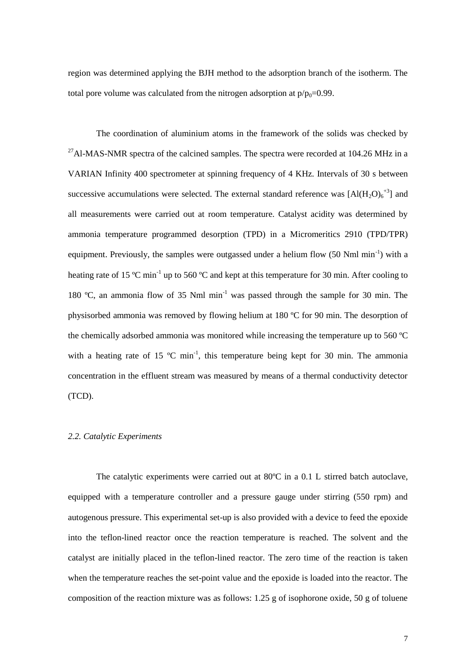region was determined applying the BJH method to the adsorption branch of the isotherm. The total pore volume was calculated from the nitrogen adsorption at  $p/p_0=0.99$ .

The coordination of aluminium atoms in the framework of the solids was checked by  $^{27}$ Al-MAS-NMR spectra of the calcined samples. The spectra were recorded at 104.26 MHz in a VARIAN Infinity 400 spectrometer at spinning frequency of 4 KHz. Intervals of 30 s between successive accumulations were selected. The external standard reference was  $[A](H_2O)_6^{+3}]$  and all measurements were carried out at room temperature. Catalyst acidity was determined by ammonia temperature programmed desorption (TPD) in a Micromeritics 2910 (TPD/TPR) equipment. Previously, the samples were outgassed under a helium flow  $(50 \text{ Nml min}^{-1})$  with a heating rate of 15 °C min<sup>-1</sup> up to 560 °C and kept at this temperature for 30 min. After cooling to 180 °C, an ammonia flow of 35 Nml min<sup>-1</sup> was passed through the sample for 30 min. The physisorbed ammonia was removed by flowing helium at 180 ºC for 90 min. The desorption of the chemically adsorbed ammonia was monitored while increasing the temperature up to 560 ºC with a heating rate of 15  $^{\circ}$ C min<sup>-1</sup>, this temperature being kept for 30 min. The ammonia concentration in the effluent stream was measured by means of a thermal conductivity detector (TCD).

#### *2.2. Catalytic Experiments*

The catalytic experiments were carried out at 80ºC in a 0.1 L stirred batch autoclave, equipped with a temperature controller and a pressure gauge under stirring (550 rpm) and autogenous pressure. This experimental set-up is also provided with a device to feed the epoxide into the teflon-lined reactor once the reaction temperature is reached. The solvent and the catalyst are initially placed in the teflon-lined reactor. The zero time of the reaction is taken when the temperature reaches the set-point value and the epoxide is loaded into the reactor. The composition of the reaction mixture was as follows: 1.25 g of isophorone oxide, 50 g of toluene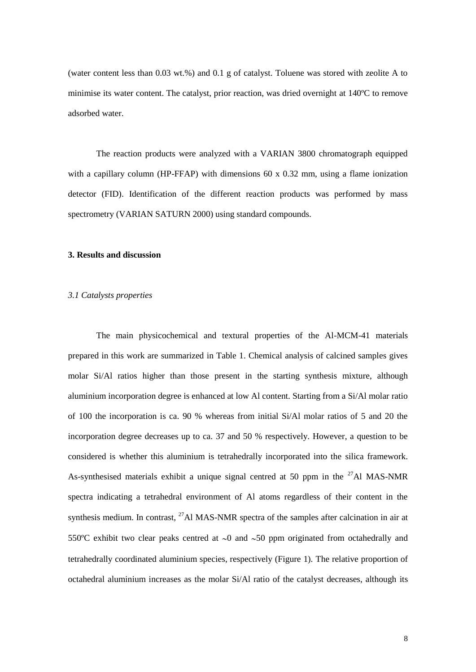(water content less than 0.03 wt.%) and 0.1 g of catalyst. Toluene was stored with zeolite A to minimise its water content. The catalyst, prior reaction, was dried overnight at 140ºC to remove adsorbed water.

The reaction products were analyzed with a VARIAN 3800 chromatograph equipped with a capillary column (HP-FFAP) with dimensions 60 x 0.32 mm, using a flame ionization detector (FID). Identification of the different reaction products was performed by mass spectrometry (VARIAN SATURN 2000) using standard compounds.

#### **3. Results and discussion**

#### *3.1 Catalysts properties*

The main physicochemical and textural properties of the Al-MCM-41 materials prepared in this work are summarized in Table 1. Chemical analysis of calcined samples gives molar Si/Al ratios higher than those present in the starting synthesis mixture, although aluminium incorporation degree is enhanced at low Al content. Starting from a Si/Al molar ratio of 100 the incorporation is ca. 90 % whereas from initial Si/Al molar ratios of 5 and 20 the incorporation degree decreases up to ca. 37 and 50 % respectively. However, a question to be considered is whether this aluminium is tetrahedrally incorporated into the silica framework. As-synthesised materials exhibit a unique signal centred at 50 ppm in the  $^{27}$ Al MAS-NMR spectra indicating a tetrahedral environment of Al atoms regardless of their content in the synthesis medium. In contrast, <sup>27</sup>Al MAS-NMR spectra of the samples after calcination in air at 550°C exhibit two clear peaks centred at  $\sim$ 0 and  $\sim$ 50 ppm originated from octahedrally and tetrahedrally coordinated aluminium species, respectively (Figure 1). The relative proportion of octahedral aluminium increases as the molar Si/Al ratio of the catalyst decreases, although its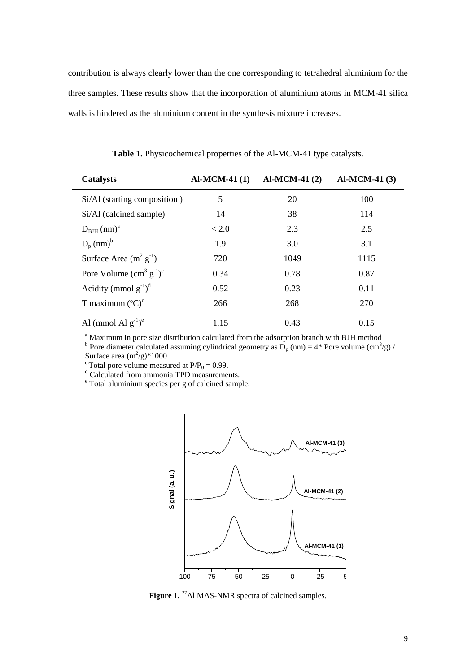contribution is always clearly lower than the one corresponding to tetrahedral aluminium for the three samples. These results show that the incorporation of aluminium atoms in MCM-41 silica walls is hindered as the aluminium content in the synthesis mixture increases.

| <b>Catalysts</b>                      | $AI-MCM-41(1)$ | $AI-MCM-41(2)$ | <b>Al-MCM-41 (3)</b> |
|---------------------------------------|----------------|----------------|----------------------|
| Si/Al (starting composition)          | 5              | 20             | 100                  |
| Si/Al (calcined sample)               | 14             | 38             | 114                  |
| $D_{\text{BJH}}$ (nm) <sup>a</sup>    | < 2.0          | 2.3            | 2.5                  |
| $D_p$ (nm) <sup>b</sup>               | 1.9            | 3.0            | 3.1                  |
| Surface Area $(m^2 g^{-1})$           | 720            | 1049           | 1115                 |
| Pore Volume $(cm^3 g^{-1})^c$         | 0.34           | 0.78           | 0.87                 |
| Acidity (mmol $g^{-1}$ ) <sup>d</sup> | 0.52           | 0.23           | 0.11                 |
| T maximum $({}^{\circ}C)^{d}$         | 266            | 268            | 270                  |
| Al (mmol Al $g^{-1}$ ) <sup>e</sup>   | 1.15           | 0.43           | 0.15                 |

**Table 1.** Physicochemical properties of the Al-MCM-41 type catalysts.

<sup>a</sup> Maximum in pore size distribution calculated from the adsorption branch with BJH method

<sup>b</sup> Pore diameter calculated assuming cylindrical geometry as  $\overline{D}_p$  (nm) = 4\* Pore volume (cm<sup>3</sup>/g) / Surface area  $(m^2/g)^*1000$ 

<sup>c</sup> Total pore volume measured at  $P/P_0 = 0.99$ .

<sup>d</sup> Calculated from ammonia TPD measurements.

<sup>e</sup> Total aluminium species per g of calcined sample.



**Figure 1.** <sup>27</sup>Al MAS-NMR spectra of calcined samples.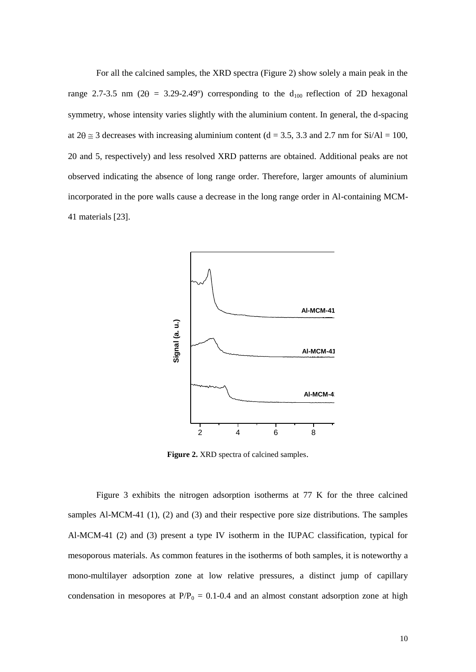For all the calcined samples, the XRD spectra (Figure 2) show solely a main peak in the range 2.7-3.5 nm (2 $\theta$  = 3.29-2.49°) corresponding to the d<sub>100</sub> reflection of 2D hexagonal symmetry, whose intensity varies slightly with the aluminium content. In general, the d-spacing at  $2\theta \approx 3$  decreases with increasing aluminium content (d = 3.5, 3.3 and 2.7 nm for Si/Al = 100, 20 and 5, respectively) and less resolved XRD patterns are obtained. Additional peaks are not observed indicating the absence of long range order. Therefore, larger amounts of aluminium incorporated in the pore walls cause a decrease in the long range order in Al-containing MCM-41 materials [23].



**Figure 2.** XRD spectra of calcined samples.

Figure 3 exhibits the nitrogen adsorption isotherms at 77 K for the three calcined samples Al-MCM-41 (1), (2) and (3) and their respective pore size distributions. The samples Al-MCM-41 (2) and (3) present a type IV isotherm in the IUPAC classification, typical for mesoporous materials. As common features in the isotherms of both samples, it is noteworthy a mono-multilayer adsorption zone at low relative pressures, a distinct jump of capillary condensation in mesopores at  $P/P_0 = 0.1$ -0.4 and an almost constant adsorption zone at high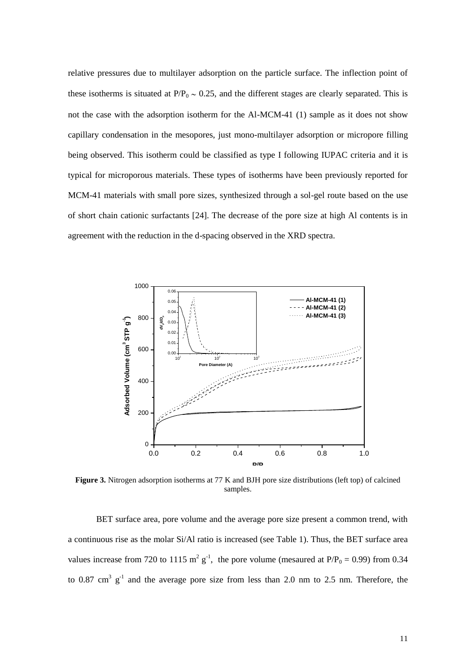relative pressures due to multilayer adsorption on the particle surface. The inflection point of these isotherms is situated at  $P/P_0 \sim 0.25$ , and the different stages are clearly separated. This is not the case with the adsorption isotherm for the Al-MCM-41 (1) sample as it does not show capillary condensation in the mesopores, just mono-multilayer adsorption or micropore filling being observed. This isotherm could be classified as type I following IUPAC criteria and it is typical for microporous materials. These types of isotherms have been previously reported for MCM-41 materials with small pore sizes, synthesized through a sol-gel route based on the use of short chain cationic surfactants [24]. The decrease of the pore size at high Al contents is in agreement with the reduction in the d-spacing observed in the XRD spectra.



**Figure 3.** Nitrogen adsorption isotherms at 77 K and BJH pore size distributions (left top) of calcined samples.

BET surface area, pore volume and the average pore size present a common trend, with a continuous rise as the molar Si/Al ratio is increased (see Table 1). Thus, the BET surface area values increase from 720 to 1115  $m^2 g^{-1}$ , the pore volume (mesaured at P/P<sub>0</sub> = 0.99) from 0.34 to 0.87 cm<sup>3</sup>  $g^{-1}$  and the average pore size from less than 2.0 nm to 2.5 nm. Therefore, the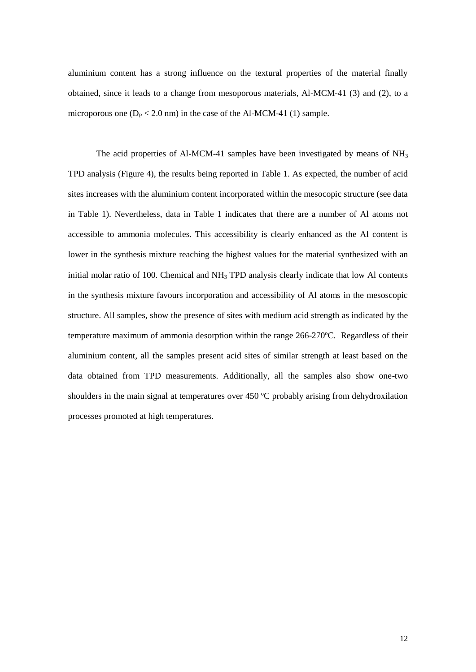aluminium content has a strong influence on the textural properties of the material finally obtained, since it leads to a change from mesoporous materials, Al-MCM-41 (3) and (2), to a microporous one  $(D_P < 2.0 \text{ nm})$  in the case of the Al-MCM-41 (1) sample.

The acid properties of Al-MCM-41 samples have been investigated by means of  $NH<sub>3</sub>$ TPD analysis (Figure 4), the results being reported in Table 1. As expected, the number of acid sites increases with the aluminium content incorporated within the mesocopic structure (see data in Table 1). Nevertheless, data in Table 1 indicates that there are a number of Al atoms not accessible to ammonia molecules. This accessibility is clearly enhanced as the Al content is lower in the synthesis mixture reaching the highest values for the material synthesized with an initial molar ratio of 100. Chemical and NH<sub>3</sub> TPD analysis clearly indicate that low Al contents in the synthesis mixture favours incorporation and accessibility of Al atoms in the mesoscopic structure. All samples, show the presence of sites with medium acid strength as indicated by the temperature maximum of ammonia desorption within the range 266-270ºC. Regardless of their aluminium content, all the samples present acid sites of similar strength at least based on the data obtained from TPD measurements. Additionally, all the samples also show one-two shoulders in the main signal at temperatures over 450 °C probably arising from dehydroxilation processes promoted at high temperatures.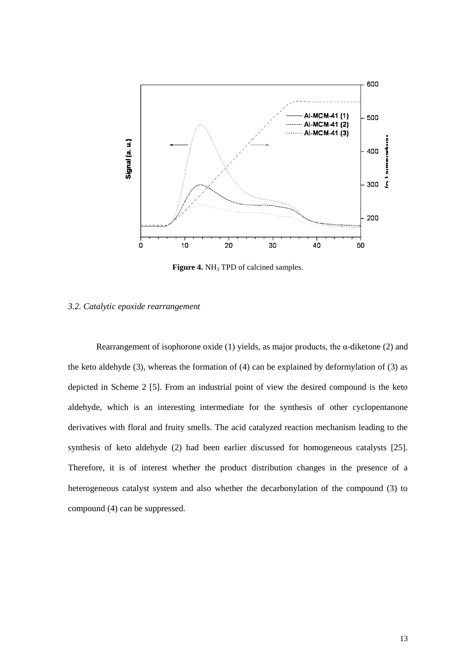

**Figure 4.** NH<sub>3</sub> TPD of calcined samples.

#### *3.2. Catalytic epoxide rearrangement*

Rearrangement of isophorone oxide (1) yields, as major products, the  $\alpha$ -diketone (2) and the keto aldehyde (3), whereas the formation of (4) can be explained by deformylation of (3) as depicted in Scheme 2 [5]. From an industrial point of view the desired compound is the keto aldehyde, which is an interesting intermediate for the synthesis of other cyclopentanone derivatives with floral and fruity smells. The acid catalyzed reaction mechanism leading to the synthesis of keto aldehyde (2) had been earlier discussed for homogeneous catalysts [25]. Therefore, it is of interest whether the product distribution changes in the presence of a heterogeneous catalyst system and also whether the decarbonylation of the compound (3) to compound (4) can be suppressed.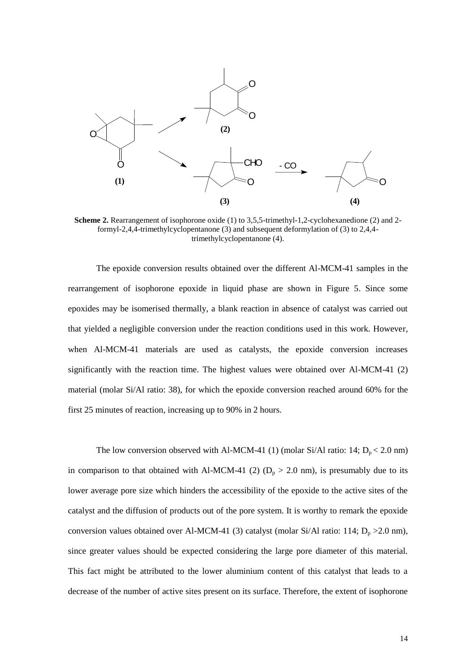

**Scheme 2.** Rearrangement of isophorone oxide (1) to 3,5,5-trimethyl-1,2-cyclohexanedione (2) and 2formyl-2,4,4-trimethylcyclopentanone (3) and subsequent deformylation of (3) to 2,4,4 trimethylcyclopentanone (4).

CONTINUOLOGY THE CONTINUOLOGY CONTINUOLOGY CONTINUOLOGY AND THE CONTINUOLOGY CONTINUOLOGY AND THE CONTINUOLOGY CONTINUOLOGY AND THE CONTINUOLOGY CONTINUOLOGY AND THE CONTINUOLOGY CONTINUOLOGY CONTINUOLOGY CONTINUOLOGY CON The epoxide conversion results obtained over the different Al-MCM-41 samples in the rearrangement of isophorone epoxide in liquid phase are shown in Figure 5. Since some epoxides may be isomerised thermally, a blank reaction in absence of catalyst was carried out that yielded a negligible conversion under the reaction conditions used in this work. However, when Al-MCM-41 materials are used as catalysts, the epoxide conversion increases significantly with the reaction time. The highest values were obtained over Al-MCM-41 (2) material (molar Si/Al ratio: 38), for which the epoxide conversion reached around 60% for the first 25 minutes of reaction, increasing up to 90% in 2 hours.

The low conversion observed with Al-MCM-41 (1) (molar Si/Al ratio: 14;  $D_p < 2.0$  nm) in comparison to that obtained with Al-MCM-41 (2) ( $D_p > 2.0$  nm), is presumably due to its lower average pore size which hinders the accessibility of the epoxide to the active sites of the catalyst and the diffusion of products out of the pore system. It is worthy to remark the epoxide conversion values obtained over Al-MCM-41 (3) catalyst (molar Si/Al ratio: 114;  $D_p > 2.0$  nm), since greater values should be expected considering the large pore diameter of this material. This fact might be attributed to the lower aluminium content of this catalyst that leads to a decrease of the number of active sites present on its surface. Therefore, the extent of isophorone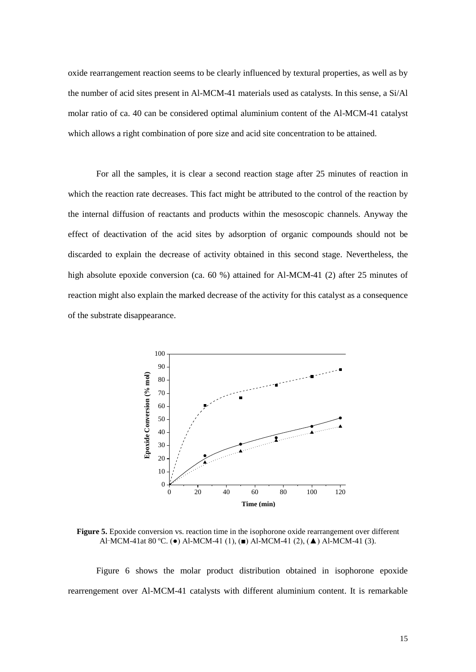oxide rearrangement reaction seems to be clearly influenced by textural properties, as well as by the number of acid sites present in Al-MCM-41 materials used as catalysts. In this sense, a Si/Al molar ratio of ca. 40 can be considered optimal aluminium content of the Al-MCM-41 catalyst which allows a right combination of pore size and acid site concentration to be attained.

For all the samples, it is clear a second reaction stage after 25 minutes of reaction in which the reaction rate decreases. This fact might be attributed to the control of the reaction by the internal diffusion of reactants and products within the mesoscopic channels. Anyway the effect of deactivation of the acid sites by adsorption of organic compounds should not be discarded to explain the decrease of activity obtained in this second stage. Nevertheless, the high absolute epoxide conversion (ca. 60 %) attained for Al-MCM-41 (2) after 25 minutes of reaction might also explain the marked decrease of the activity for this catalyst as a consequence of the substrate disappearance.



**Figure 5.** Epoxide conversion vs. reaction time in the isophorone oxide rearrangement over different Al\_MCM-41at 80 ºC. (●) Al-MCM-41 (1), (■) Al-MCM-41 (2), (▲) Al-MCM-41 (3).

Figure 6 shows the molar product distribution obtained in isophorone epoxide rearrengement over Al-MCM-41 catalysts with different aluminium content. It is remarkable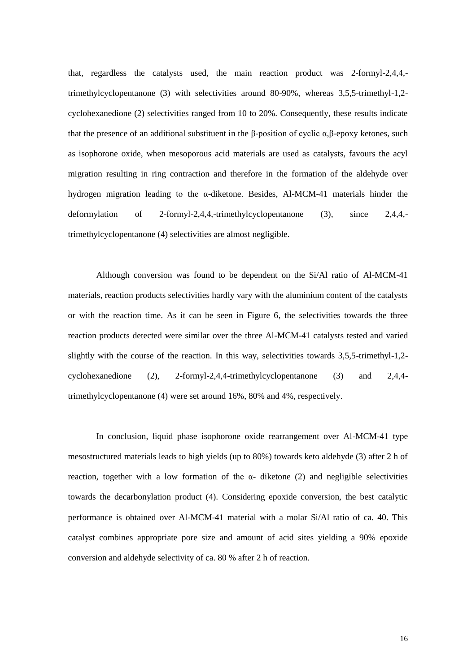that, regardless the catalysts used, the main reaction product was 2-formyl-2,4,4, trimethylcyclopentanone (3) with selectivities around 80-90%, whereas 3,5,5-trimethyl-1,2 cyclohexanedione (2) selectivities ranged from 10 to 20%. Consequently, these results indicate that the presence of an additional substituent in the β-position of cyclic  $\alpha$ ,β-epoxy ketones, such as isophorone oxide, when mesoporous acid materials are used as catalysts, favours the acyl migration resulting in ring contraction and therefore in the formation of the aldehyde over hydrogen migration leading to the α-diketone. Besides, Al-MCM-41 materials hinder the deformylation of 2-formyl-2,4,4,-trimethylcyclopentanone (3), since 2,4,4, trimethylcyclopentanone (4) selectivities are almost negligible.

Although conversion was found to be dependent on the Si/Al ratio of Al-MCM-41 materials, reaction products selectivities hardly vary with the aluminium content of the catalysts or with the reaction time. As it can be seen in Figure 6, the selectivities towards the three reaction products detected were similar over the three Al-MCM-41 catalysts tested and varied slightly with the course of the reaction. In this way, selectivities towards 3,5,5-trimethyl-1,2 cyclohexanedione (2), 2-formyl-2,4,4-trimethylcyclopentanone (3) and 2,4,4 trimethylcyclopentanone (4) were set around 16%, 80% and 4%, respectively.

In conclusion, liquid phase isophorone oxide rearrangement over Al-MCM-41 type mesostructured materials leads to high yields (up to 80%) towards keto aldehyde (3) after 2 h of reaction, together with a low formation of the  $\alpha$ - diketone (2) and negligible selectivities towards the decarbonylation product (4). Considering epoxide conversion, the best catalytic performance is obtained over Al-MCM-41 material with a molar Si/Al ratio of ca. 40. This catalyst combines appropriate pore size and amount of acid sites yielding a 90% epoxide conversion and aldehyde selectivity of ca. 80 % after 2 h of reaction.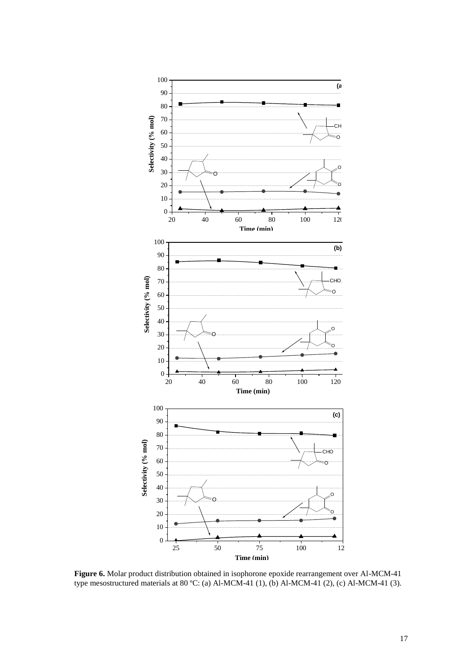

**Figure 6.** Molar product distribution obtained in isophorone epoxide rearrangement over Al-MCM-41 type mesostructured materials at 80 ºC: (a) Al-MCM-41 (1), (b) Al-MCM-41 (2), (c) Al-MCM-41 (3).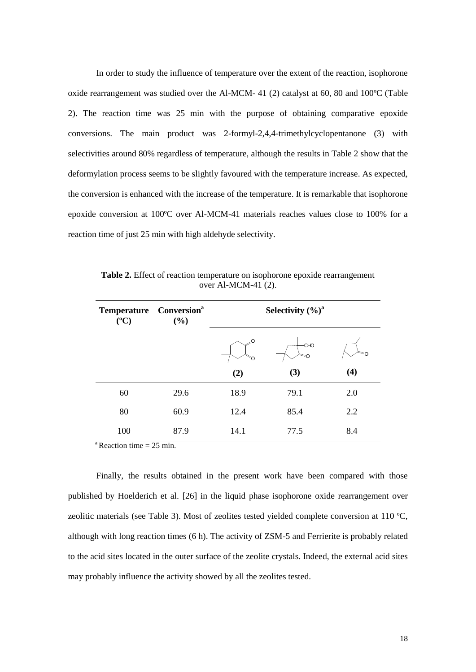In order to study the influence of temperature over the extent of the reaction, isophorone oxide rearrangement was studied over the Al-MCM- 41 (2) catalyst at 60, 80 and 100ºC (Table 2). The reaction time was 25 min with the purpose of obtaining comparative epoxide conversions. The main product was 2-formyl-2,4,4-trimethylcyclopentanone (3) with selectivities around 80% regardless of temperature, although the results in Table 2 show that the deformylation process seems to be slightly favoured with the temperature increase. As expected, the conversion is enhanced with the increase of the temperature. It is remarkable that isophorone epoxide conversion at 100ºC over Al-MCM-41 materials reaches values close to 100% for a reaction time of just 25 min with high aldehyde selectivity.

| <b>Temperature</b><br>$({}^oC)$ | <b>Conversion</b> <sup>a</sup><br>$(\%)$ | Selectivity $(\%)^a$ |      |     |
|---------------------------------|------------------------------------------|----------------------|------|-----|
|                                 |                                          | .O                   | CHO  |     |
|                                 |                                          | (2)                  | (3)  | (4) |
| 60                              | 29.6                                     | 18.9                 | 79.1 | 2.0 |
| 80                              | 60.9                                     | 12.4                 | 85.4 | 2.2 |
| 100                             | 87.9                                     | 14.1                 | 77.5 | 8.4 |

**Table 2.** Effect of reaction temperature on isophorone epoxide rearrangement over Al-MCM-41 (2).

 $a$ Reaction time = 25 min.

Finally, the results obtained in the present work have been compared with those published by Hoelderich et al. [26] in the liquid phase isophorone oxide rearrangement over zeolitic materials (see Table 3). Most of zeolites tested yielded complete conversion at 110 ºC, although with long reaction times (6 h). The activity of ZSM-5 and Ferrierite is probably related to the acid sites located in the outer surface of the zeolite crystals. Indeed, the external acid sites may probably influence the activity showed by all the zeolites tested.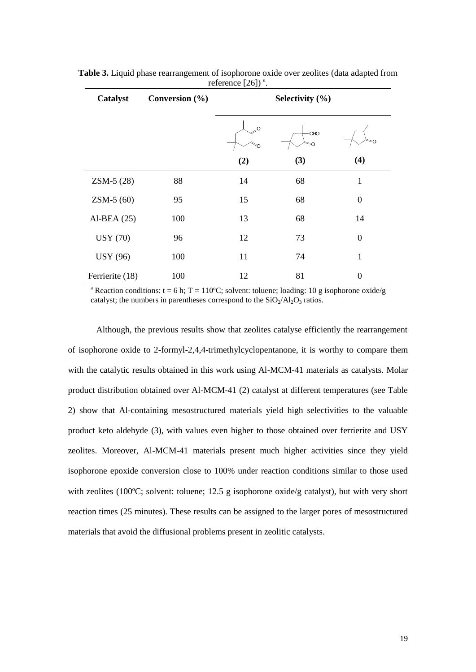| Catalyst        | Conversion $(\% )$ | Selectivity $(\% )$ |     |                |
|-----------------|--------------------|---------------------|-----|----------------|
|                 |                    | $\sim$              | CHO |                |
|                 |                    | (2)                 | (3) | (4)            |
| ZSM-5 (28)      | 88                 | 14                  | 68  | $\mathbf{1}$   |
| $ZSM-5(60)$     | 95                 | 15                  | 68  | $\overline{0}$ |
| Al-BEA $(25)$   | 100                | 13                  | 68  | 14             |
| <b>USY (70)</b> | 96                 | 12                  | 73  | $\overline{0}$ |
| <b>USY</b> (96) | 100                | 11                  | 74  | 1              |
| Ferrierite (18) | 100                | 12                  | 81  | 0              |

**Table 3.** Liquid phase rearrangement of isophorone oxide over zeolites (data adapted from reference  $[26]$ <sup>a</sup>.

<sup>a</sup> Reaction conditions:  $t = 6$  h;  $T = 110$ °C; solvent: toluene; loading: 10 g isophorone oxide/g catalyst; the numbers in parentheses correspond to the  $SiO<sub>2</sub>/Al<sub>2</sub>O<sub>3</sub>$  ratios.

Although, the previous results show that zeolites catalyse efficiently the rearrangement of isophorone oxide to 2-formyl-2,4,4-trimethylcyclopentanone, it is worthy to compare them with the catalytic results obtained in this work using Al-MCM-41 materials as catalysts. Molar product distribution obtained over Al-MCM-41 (2) catalyst at different temperatures (see Table 2) show that Al-containing mesostructured materials yield high selectivities to the valuable product keto aldehyde (3), with values even higher to those obtained over ferrierite and USY zeolites. Moreover, Al-MCM-41 materials present much higher activities since they yield isophorone epoxide conversion close to 100% under reaction conditions similar to those used with zeolites (100°C; solvent: toluene; 12.5 g isophorone oxide/g catalyst), but with very short reaction times (25 minutes). These results can be assigned to the larger pores of mesostructured materials that avoid the diffusional problems present in zeolitic catalysts.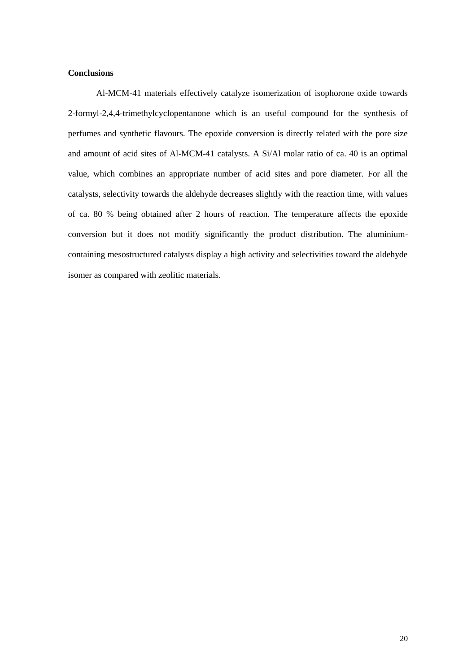## **Conclusions**

Al-MCM-41 materials effectively catalyze isomerization of isophorone oxide towards 2-formyl-2,4,4-trimethylcyclopentanone which is an useful compound for the synthesis of perfumes and synthetic flavours. The epoxide conversion is directly related with the pore size and amount of acid sites of Al-MCM-41 catalysts. A Si/Al molar ratio of ca. 40 is an optimal value, which combines an appropriate number of acid sites and pore diameter. For all the catalysts, selectivity towards the aldehyde decreases slightly with the reaction time, with values of ca. 80 % being obtained after 2 hours of reaction. The temperature affects the epoxide conversion but it does not modify significantly the product distribution. The aluminiumcontaining mesostructured catalysts display a high activity and selectivities toward the aldehyde isomer as compared with zeolitic materials.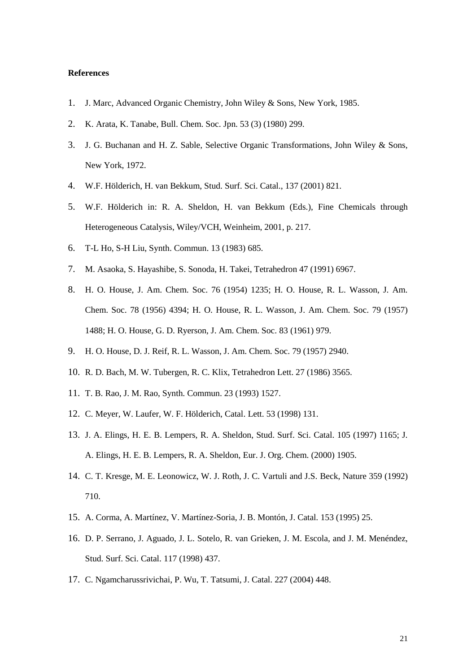#### **References**

- 1. J. Marc, Advanced Organic Chemistry, John Wiley & Sons, New York, 1985.
- 2. K. Arata, K. Tanabe, Bull. Chem. Soc. Jpn. 53 (3) (1980) 299.
- 3. J. G. Buchanan and H. Z. Sable, Selective Organic Transformations, John Wiley & Sons, New York, 1972.
- 4. W.F. Hölderich, H. van Bekkum, Stud. Surf. Sci. Catal., 137 (2001) 821.
- 5. W.F. Hölderich in: R. A. Sheldon, H. van Bekkum (Eds.), Fine Chemicals through Heterogeneous Catalysis, Wiley/VCH, Weinheim, 2001, p. 217.
- 6. T-L Ho, S-H Liu, Synth. Commun. 13 (1983) 685.
- 7. M. Asaoka, S. Hayashibe, S. Sonoda, H. Takei, Tetrahedron 47 (1991) 6967.
- 8. H. O. House, J. Am. Chem. Soc. 76 (1954) 1235; H. O. House, R. L. Wasson, J. Am. Chem. Soc. 78 (1956) 4394; H. O. House, R. L. Wasson, J. Am. Chem. Soc. 79 (1957) 1488; H. O. House, G. D. Ryerson, J. Am. Chem. Soc. 83 (1961) 979.
- 9. H. O. House, D. J. Reif, R. L. Wasson, J. Am. Chem. Soc. 79 (1957) 2940.
- 10. R. D. Bach, M. W. Tubergen, R. C. Klix, Tetrahedron Lett. 27 (1986) 3565.
- 11. T. B. Rao, J. M. Rao, Synth. Commun. 23 (1993) 1527.
- 12. C. Meyer, W. Laufer, W. F. Hölderich, Catal. Lett. 53 (1998) 131.
- 13. J. A. Elings, H. E. B. Lempers, R. A. Sheldon, Stud. Surf. Sci. Catal. 105 (1997) 1165; J. A. Elings, H. E. B. Lempers, R. A. Sheldon, Eur. J. Org. Chem. (2000) 1905.
- 14. C. T. Kresge, M. E. Leonowicz, W. J. Roth, J. C. Vartuli and J.S. Beck, Nature 359 (1992) 710.
- 15. A. Corma, A. Martínez, V. Martínez-Soria, J. B. Montón, J. Catal*.* 153 (1995) 25.
- 16. D. P. Serrano, J. Aguado, J. L. Sotelo, R. van Grieken, J. M. Escola, and J. M. Menéndez, Stud. Surf. Sci. Catal. 117 (1998) 437.
- 17. C. Ngamcharussrivichai, P. Wu, T. Tatsumi, J. Catal. 227 (2004) 448.